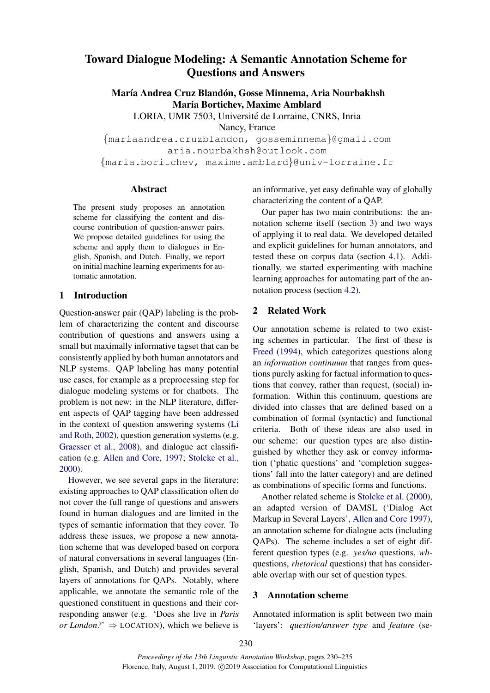# Toward Dialogue Modeling: A Semantic Annotation Scheme for Questions and Answers

María Andrea Cruz Blandón, Gosse Minnema, Aria Nourbakhsh Maria Bortichev, Maxime Amblard

LORIA, UMR 7503, Université de Lorraine, CNRS, Inria Nancy, France

{mariaandrea.cruzblandon, gosseminnema}@gmail.com aria.nourbakhsh@outlook.com {maria.boritchev, maxime.amblard}@univ-lorraine.fr

#### Abstract

The present study proposes an annotation scheme for classifying the content and discourse contribution of question-answer pairs. We propose detailed guidelines for using the scheme and apply them to dialogues in English, Spanish, and Dutch. Finally, we report on initial machine learning experiments for automatic annotation.

# 1 Introduction

Question-answer pair (QAP) labeling is the problem of characterizing the content and discourse contribution of questions and answers using a small but maximally informative tagset that can be consistently applied by both human annotators and NLP systems. QAP labeling has many potential use cases, for example as a preprocessing step for dialogue modeling systems or for chatbots. The problem is not new: in the NLP literature, different aspects of QAP tagging have been addressed in the context of question answering systems [\(Li](#page-5-0) [and Roth,](#page-5-0) [2002\)](#page-5-0), question generation systems (e.g. [Graesser et al.,](#page-4-0) [2008\)](#page-4-0), and dialogue act classification (e.g. [Allen and Core,](#page-4-1) [1997;](#page-4-1) [Stolcke et al.,](#page-5-1) [2000\)](#page-5-1).

However, we see several gaps in the literature: existing approaches to QAP classification often do not cover the full range of questions and answers found in human dialogues and are limited in the types of semantic information that they cover. To address these issues, we propose a new annotation scheme that was developed based on corpora of natural conversations in several languages (English, Spanish, and Dutch) and provides several layers of annotations for QAPs. Notably, where applicable, we annotate the semantic role of the questioned constituent in questions and their corresponding answer (e.g. 'Does she live in *Paris or London?*'  $\Rightarrow$  LOCATION), which we believe is an informative, yet easy definable way of globally characterizing the content of a QAP.

Our paper has two main contributions: the annotation scheme itself (section [3\)](#page-0-0) and two ways of applying it to real data. We developed detailed and explicit guidelines for human annotators, and tested these on corpus data (section [4.1\)](#page-2-0). Additionally, we started experimenting with machine learning approaches for automating part of the annotation process (section [4.2\)](#page-3-0).

# 2 Related Work

Our annotation scheme is related to two existing schemes in particular. The first of these is [Freed](#page-4-2) [\(1994\)](#page-4-2), which categorizes questions along an *information continuum* that ranges from questions purely asking for factual information to questions that convey, rather than request, (social) information. Within this continuum, questions are divided into classes that are defined based on a combination of formal (syntactic) and functional criteria. Both of these ideas are also used in our scheme: our question types are also distinguished by whether they ask or convey information ('phatic questions' and 'completion suggestions' fall into the latter category) and are defined as combinations of specific forms and functions.

Another related scheme is [Stolcke et al.](#page-5-1) [\(2000\)](#page-5-1), an adapted version of DAMSL ('Dialog Act Markup in Several Layers', [Allen and Core](#page-4-1) [1997\)](#page-4-1), an annotation scheme for dialogue acts (including QAPs). The scheme includes a set of eight different question types (e.g. *yes/no* questions, *wh*questions, *rhetorical* questions) that has considerable overlap with our set of question types.

# <span id="page-0-0"></span>3 Annotation scheme

Annotated information is split between two main 'layers': *question/answer type* and *feature* (se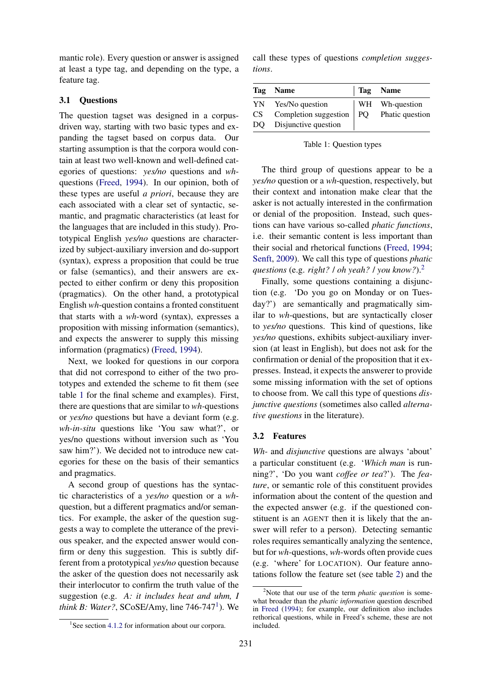mantic role). Every question or answer is assigned at least a type tag, and depending on the type, a feature tag.

#### 3.1 Questions

The question tagset was designed in a corpusdriven way, starting with two basic types and expanding the tagset based on corpus data. Our starting assumption is that the corpora would contain at least two well-known and well-defined categories of questions: *yes/no* questions and *wh*questions [\(Freed,](#page-4-2) [1994\)](#page-4-2). In our opinion, both of these types are useful *a priori*, because they are each associated with a clear set of syntactic, semantic, and pragmatic characteristics (at least for the languages that are included in this study). Prototypical English *yes/no* questions are characterized by subject-auxiliary inversion and do-support (syntax), express a proposition that could be true or false (semantics), and their answers are expected to either confirm or deny this proposition (pragmatics). On the other hand, a prototypical English *wh*-question contains a fronted constituent that starts with a *wh*-word (syntax), expresses a proposition with missing information (semantics), and expects the answerer to supply this missing information (pragmatics) [\(Freed,](#page-4-2) [1994\)](#page-4-2).

Next, we looked for questions in our corpora that did not correspond to either of the two prototypes and extended the scheme to fit them (see table [1](#page-1-0) for the final scheme and examples). First, there are questions that are similar to *wh-*questions or *yes/no* questions but have a deviant form (e.g. *wh-in-situ* questions like 'You saw what?', or yes/no questions without inversion such as 'You saw him?'). We decided not to introduce new categories for these on the basis of their semantics and pragmatics.

A second group of questions has the syntactic characteristics of a *yes/no* question or a *wh*question, but a different pragmatics and/or semantics. For example, the asker of the question suggests a way to complete the utterance of the previous speaker, and the expected answer would confirm or deny this suggestion. This is subtly different from a prototypical *yes/no* question because the asker of the question does not necessarily ask their interlocutor to confirm the truth value of the suggestion (e.g. *A: it includes heat and uhm, I think B: Water?*,  $SCoSE/Any$ , line  $746-747<sup>1</sup>$  $746-747<sup>1</sup>$  $746-747<sup>1</sup>$ ). We

call these types of questions *completion suggestions*.

<span id="page-1-0"></span>

|      | Tag Name                                                                                          | Tag Name       |
|------|---------------------------------------------------------------------------------------------------|----------------|
| CS — | YN Yes/No question<br>Completion suggestion $\vert PQ$ Phatic question<br>DQ Disjunctive question | WH Wh-question |

Table 1: Question types

The third group of questions appear to be a *yes/no* question or a *wh*-question, respectively, but their context and intonation make clear that the asker is not actually interested in the confirmation or denial of the proposition. Instead, such questions can have various so-called *phatic functions*, i.e. their semantic content is less important than their social and rhetorical functions [\(Freed,](#page-4-2) [1994;](#page-4-2) [Senft,](#page-5-2) [2009\)](#page-5-2). We call this type of questions *phatic questions* (e.g. *right?* / *oh yeah?* / *you know?*).[2](#page-1-2)

Finally, some questions containing a disjunction (e.g. 'Do you go on Monday or on Tuesday?') are semantically and pragmatically similar to *wh*-questions, but are syntactically closer to *yes/no* questions. This kind of questions, like *yes/no* questions, exhibits subject-auxiliary inversion (at least in English), but does not ask for the confirmation or denial of the proposition that it expresses. Instead, it expects the answerer to provide some missing information with the set of options to choose from. We call this type of questions *disjunctive questions* (sometimes also called *alternative questions* in the literature).

#### 3.2 Features

*Wh-* and *disjunctive* questions are always 'about' a particular constituent (e.g. '*Which man* is running?', 'Do you want *coffee or tea*?'). The *feature*, or semantic role of this constituent provides information about the content of the question and the expected answer (e.g. if the questioned constituent is an AGENT then it is likely that the answer will refer to a person). Detecting semantic roles requires semantically analyzing the sentence, but for *wh-*questions, *wh*-words often provide cues (e.g. 'where' for LOCATION). Our feature annotations follow the feature set (see table [2\)](#page-2-2) and the

<span id="page-1-1"></span><sup>&</sup>lt;sup>1</sup>See section [4.1.2](#page-2-1) for information about our corpora.

<span id="page-1-2"></span><sup>2</sup>Note that our use of the term *phatic question* is somewhat broader than the *phatic information* question described in [Freed](#page-4-2) [\(1994\)](#page-4-2); for example, our definition also includes rethorical questions, while in Freed's scheme, these are not included.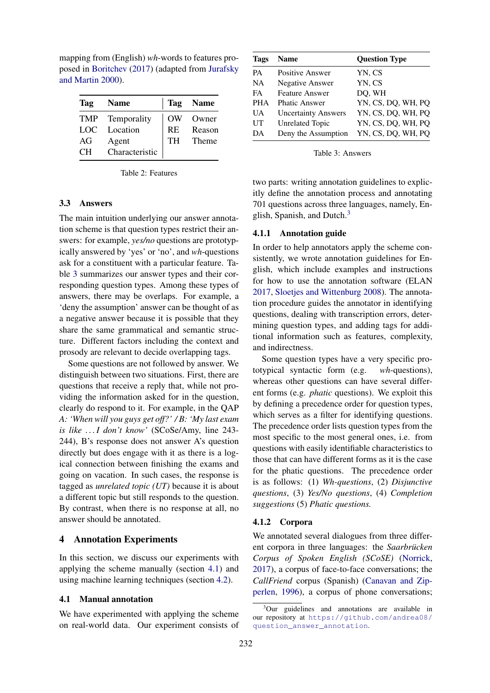mapping from (English) *wh*-words to features proposed in [Boritchev](#page-4-3) [\(2017\)](#page-4-3) (adapted from [Jurafsky](#page-4-4) [and Martin](#page-4-4) [2000\)](#page-4-4).

<span id="page-2-2"></span>

| Tag  | <b>Name</b>     |           | Tag Name |
|------|-----------------|-----------|----------|
|      | TMP Temporality | OW        | Owner    |
| LOC. | Location        | <b>RE</b> | Reason   |
| AG   | Agent           | <b>TH</b> | Theme    |
| CH.  | Characteristic  |           |          |

Table 2: Features

### 3.3 Answers

The main intuition underlying our answer annotation scheme is that question types restrict their answers: for example, *yes/no* questions are prototypically answered by 'yes' or 'no', and *wh*-questions ask for a constituent with a particular feature. Table [3](#page-2-3) summarizes our answer types and their corresponding question types. Among these types of answers, there may be overlaps. For example, a 'deny the assumption' answer can be thought of as a negative answer because it is possible that they share the same grammatical and semantic structure. Different factors including the context and prosody are relevant to decide overlapping tags.

Some questions are not followed by answer. We distinguish between two situations. First, there are questions that receive a reply that, while not providing the information asked for in the question, clearly do respond to it. For example, in the QAP *A: 'When will you guys get off?' / B: 'My last exam is like . . . I don't know'* (SCoSe/Amy, line 243- 244), B's response does not answer A's question directly but does engage with it as there is a logical connection between finishing the exams and going on vacation. In such cases, the response is tagged as *unrelated topic (UT)* because it is about a different topic but still responds to the question. By contrast, when there is no response at all, no answer should be annotated.

### 4 Annotation Experiments

In this section, we discuss our experiments with applying the scheme manually (section [4.1\)](#page-2-0) and using machine learning techniques (section [4.2\)](#page-3-0).

#### <span id="page-2-0"></span>4.1 Manual annotation

We have experimented with applying the scheme on real-world data. Our experiment consists of

<span id="page-2-3"></span>

| <b>Tags</b> | <b>Name</b>                | <b>Question Type</b> |  |  |  |
|-------------|----------------------------|----------------------|--|--|--|
| <b>PA</b>   | <b>Positive Answer</b>     | YN, CS               |  |  |  |
| <b>NA</b>   | <b>Negative Answer</b>     | YN, CS               |  |  |  |
| FA          | <b>Feature Answer</b>      | DQ, WH               |  |  |  |
| <b>PHA</b>  | <b>Phatic Answer</b>       | YN, CS, DQ, WH, PQ   |  |  |  |
| UA.         | <b>Uncertainty Answers</b> | YN, CS, DQ, WH, PQ   |  |  |  |
| UT          | <b>Unrelated Topic</b>     | YN, CS, DQ, WH, PQ   |  |  |  |
| DA          | Deny the Assumption        | YN, CS, DQ, WH, PQ   |  |  |  |

Table 3: Answers

two parts: writing annotation guidelines to explicitly define the annotation process and annotating 701 questions across three languages, namely, En-glish, Spanish, and Dutch.<sup>[3](#page-2-4)</sup>

#### 4.1.1 Annotation guide

In order to help annotators apply the scheme consistently, we wrote annotation guidelines for English, which include examples and instructions for how to use the annotation software (ELAN [2017,](#page-4-5) [Sloetjes and Wittenburg](#page-5-3) [2008\)](#page-5-3). The annotation procedure guides the annotator in identifying questions, dealing with transcription errors, determining question types, and adding tags for additional information such as features, complexity, and indirectness.

Some question types have a very specific prototypical syntactic form (e.g. *wh*-questions), whereas other questions can have several different forms (e.g. *phatic* questions). We exploit this by defining a precedence order for question types, which serves as a filter for identifying questions. The precedence order lists question types from the most specific to the most general ones, i.e. from questions with easily identifiable characteristics to those that can have different forms as it is the case for the phatic questions. The precedence order is as follows: (1) *Wh-questions*, (2) *Disjunctive questions*, (3) *Yes/No questions*, (4) *Completion suggestions* (5) *Phatic questions.*

#### <span id="page-2-1"></span>4.1.2 Corpora

We annotated several dialogues from three different corpora in three languages: the *Saarbrucken ¨ Corpus of Spoken English (SCoSE)* [\(Norrick,](#page-5-4) [2017\)](#page-5-4), a corpus of face-to-face conversations; the *CallFriend* corpus (Spanish) [\(Canavan and Zip](#page-4-6)[perlen,](#page-4-6) [1996\)](#page-4-6), a corpus of phone conversations;

<span id="page-2-4"></span><sup>&</sup>lt;sup>3</sup>Our guidelines and annotations are available in our repository at [https://github.com/andrea08/](https://github.com/andrea08/question_answer_annotation) [question\\_answer\\_annotation](https://github.com/andrea08/question_answer_annotation).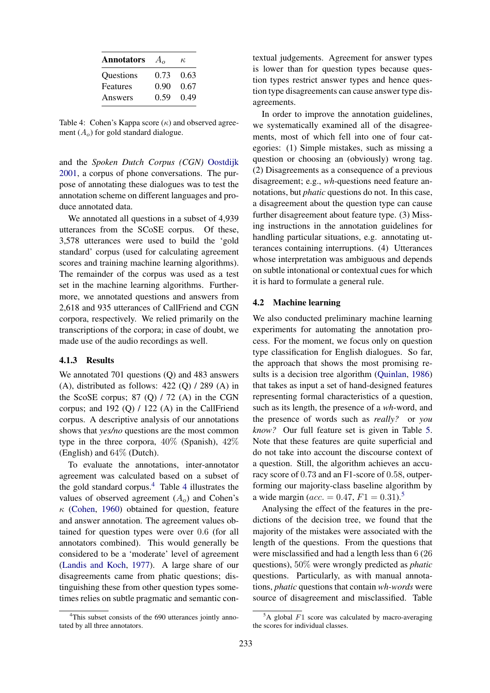<span id="page-3-2"></span>

| <b>Annotators</b> | $A_{\alpha}$ | к.   |
|-------------------|--------------|------|
| Questions         | 0.73         | 0.63 |
| Features          | 0.90         | 0.67 |
| Answers           | 0.59         | 0.49 |

Table 4: Cohen's Kappa score  $(\kappa)$  and observed agreement  $(A<sub>o</sub>)$  for gold standard dialogue.

and the *Spoken Dutch Corpus (CGN)* [Oostdijk](#page-5-5) [2001,](#page-5-5) a corpus of phone conversations. The purpose of annotating these dialogues was to test the annotation scheme on different languages and produce annotated data.

We annotated all questions in a subset of 4,939 utterances from the SCoSE corpus. Of these, 3,578 utterances were used to build the 'gold standard' corpus (used for calculating agreement scores and training machine learning algorithms). The remainder of the corpus was used as a test set in the machine learning algorithms. Furthermore, we annotated questions and answers from 2,618 and 935 utterances of CallFriend and CGN corpora, respectively. We relied primarily on the transcriptions of the corpora; in case of doubt, we made use of the audio recordings as well.

# 4.1.3 Results

We annotated 701 questions (Q) and 483 answers (A), distributed as follows:  $422$  (Q)  $/ 289$  (A) in the ScoSE corpus;  $87$  (Q)  $/72$  (A) in the CGN corpus; and 192 (Q)  $/$  122 (A) in the CallFriend corpus. A descriptive analysis of our annotations shows that *yes/no* questions are the most common type in the three corpora, 40% (Spanish), 42% (English) and 64% (Dutch).

To evaluate the annotations, inter-annotator agreement was calculated based on a subset of the gold standard corpus. $4$  Table 4 illustrates the values of observed agreement  $(A<sub>o</sub>)$  and Cohen's  $\kappa$  [\(Cohen,](#page-4-7) [1960\)](#page-4-7) obtained for question, feature and answer annotation. The agreement values obtained for question types were over 0.6 (for all annotators combined). This would generally be considered to be a 'moderate' level of agreement [\(Landis and Koch,](#page-4-8) [1977\)](#page-4-8). A large share of our disagreements came from phatic questions; distinguishing these from other question types sometimes relies on subtle pragmatic and semantic con-

<span id="page-3-1"></span><sup>4</sup>This subset consists of the 690 utterances jointly annotated by all three annotators.

textual judgements. Agreement for answer types is lower than for question types because question types restrict answer types and hence question type disagreements can cause answer type disagreements.

In order to improve the annotation guidelines, we systematically examined all of the disagreements, most of which fell into one of four categories: (1) Simple mistakes, such as missing a question or choosing an (obviously) wrong tag. (2) Disagreements as a consequence of a previous disagreement; e.g., *wh*-questions need feature annotations, but *phatic* questions do not. In this case, a disagreement about the question type can cause further disagreement about feature type. (3) Missing instructions in the annotation guidelines for handling particular situations, e.g. annotating utterances containing interruptions. (4) Utterances whose interpretation was ambiguous and depends on subtle intonational or contextual cues for which it is hard to formulate a general rule.

#### <span id="page-3-0"></span>4.2 Machine learning

We also conducted preliminary machine learning experiments for automating the annotation process. For the moment, we focus only on question type classification for English dialogues. So far, the approach that shows the most promising results is a decision tree algorithm [\(Quinlan,](#page-5-6) [1986\)](#page-5-6) that takes as input a set of hand-designed features representing formal characteristics of a question, such as its length, the presence of a *wh*-word, and the presence of words such as *really?* or *you know?* Our full feature set is given in Table [5.](#page-4-9) Note that these features are quite superficial and do not take into account the discourse context of a question. Still, the algorithm achieves an accuracy score of 0.73 and an F1-score of 0.58, outperforming our majority-class baseline algorithm by a wide margin ( $acc. = 0.47, F1 = 0.31$ ).<sup>[5](#page-3-3)</sup>

Analysing the effect of the features in the predictions of the decision tree, we found that the majority of the mistakes were associated with the length of the questions. From the questions that were misclassified and had a length less than 6 (26 questions), 50% were wrongly predicted as *phatic* questions. Particularly, as with manual annotations, *phatic* questions that contain *wh-words* were source of disagreement and misclassified. Table

<span id="page-3-3"></span> $5A$  global F1 score was calculated by macro-averaging the scores for individual classes.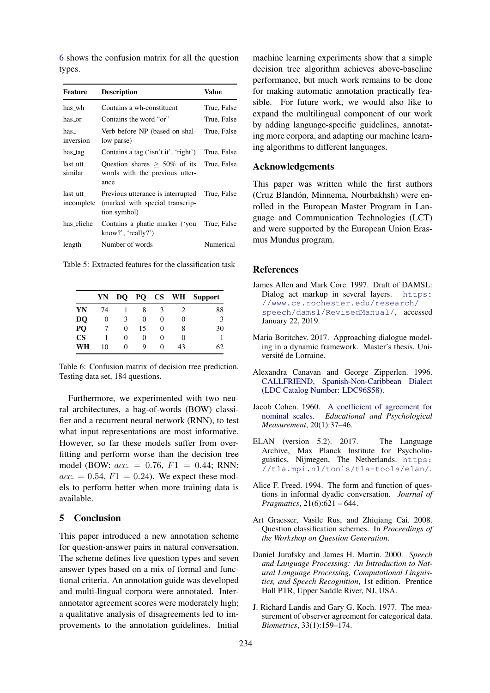[6](#page-4-10) shows the confusion matrix for all the question types.

<span id="page-4-9"></span>

| Feature                                       | <b>Description</b>                                                                   | Value       |
|-----------------------------------------------|--------------------------------------------------------------------------------------|-------------|
| has_wh                                        | Contains a wh-constituent                                                            | True, False |
| has or                                        | Contains the word "or"                                                               | True, False |
| has<br>inversion                              | Verb before NP (based on shal-<br>low parse)                                         | True, False |
| has_tag                                       | Contains a tag ('isn't it', 'right')                                                 | True, False |
| last utt<br>similar                           | Question shares $\geq 50\%$ of its<br>words with the previous utter-<br>ance         | True, False |
| $last_{\text{-}utt_{\text{-}}}$<br>incomplete | Previous utterance is interrupted<br>(marked with special transcrip-<br>tion symbol) | True, False |
| has_cliche                                    | Contains a phatic marker ('you<br>know?', 'really?')                                 | True, False |
| length                                        | Number of words                                                                      | Numerical   |

|  |                                                         | $\mathbf{V}$ $\mathbf{N}$ $\mathbf{N}$ $\mathbf{N}$ $\mathbf{N}$ $\mathbf{N}$ $\mathbf{N}$ $\mathbf{N}$ $\mathbf{N}$ $\mathbf{N}$ $\mathbf{N}$ $\mathbf{N}$ $\mathbf{N}$ $\mathbf{N}$ $\mathbf{N}$ $\mathbf{N}$ $\mathbf{N}$ $\mathbf{N}$ $\mathbf{N}$ $\mathbf{N}$ $\mathbf{N}$ $\mathbf{N}$ $\mathbf{N}$ $\mathbf{N}$ $\mathbf{$ |  |  |  |  |
|--|---------------------------------------------------------|------------------------------------------------------------------------------------------------------------------------------------------------------------------------------------------------------------------------------------------------------------------------------------------------------------------------------------|--|--|--|--|
|  |                                                         |                                                                                                                                                                                                                                                                                                                                    |  |  |  |  |
|  |                                                         |                                                                                                                                                                                                                                                                                                                                    |  |  |  |  |
|  | Table 5: Extracted features for the classification task |                                                                                                                                                                                                                                                                                                                                    |  |  |  |  |

<span id="page-4-10"></span>

|               | YN | DO | PQ | $\mathbf{CS}$ | WH       | <b>Support</b> |
|---------------|----|----|----|---------------|----------|----------------|
| YN            | 74 |    | 8  |               | 2        | 88             |
| DQ            | 0  | 3  | 0  | 0             | 0        | 3              |
| PQ            |    | 0  | 15 | 0             | 8        | 30             |
| $\mathbf{CS}$ |    | 0  | 0  | 0             | $\theta$ |                |
| WH            | 10 | 0  | 9  | $\theta$      | 43       | 62             |

Table 6: Confusion matrix of decision tree prediction. Testing data set, 184 questions.

Furthermore, we experimented with two neural architectures, a bag-of-words (BOW) classifier and a recurrent neural network (RNN), to test what input representations are most informative. However, so far these models suffer from overfitting and perform worse than the decision tree model (BOW:  $acc. = 0.76, F1 = 0.44$ ; RNN:  $acc. = 0.54, F1 = 0.24$ . We expect these models to perform better when more training data is available.

# 5 Conclusion

This paper introduced a new annotation scheme for question-answer pairs in natural conversation. The scheme defines five question types and seven answer types based on a mix of formal and functional criteria. An annotation guide was developed and multi-lingual corpora were annotated. Interannotator agreement scores were moderately high; a qualitative analysis of disagreements led to improvements to the annotation guidelines. Initial

machine learning experiments show that a simple decision tree algorithm achieves above-baseline performance, but much work remains to be done for making automatic annotation practically feasible. For future work, we would also like to expand the multilingual component of our work by adding language-specific guidelines, annotating more corpora, and adapting our machine learning algorithms to different languages.

# Acknowledgements

This paper was written while the first authors (Cruz Blandón, Minnema, Nourbakhsh) were enrolled in the European Master Program in Language and Communication Technologies (LCT) and were supported by the European Union Erasmus Mundus program.

#### References

- <span id="page-4-1"></span>James Allen and Mark Core. 1997. Draft of DAMSL: Dialog act markup in several layers. [https:](https://www.cs.rochester.edu/research/speech/damsl/RevisedManual/) [//www.cs.rochester.edu/research/](https://www.cs.rochester.edu/research/speech/damsl/RevisedManual/) [speech/damsl/RevisedManual/](https://www.cs.rochester.edu/research/speech/damsl/RevisedManual/), accessed January 22, 2019.
- <span id="page-4-3"></span>Maria Boritchev. 2017. Approaching dialogue modeling in a dynamic framework. Master's thesis, Université de Lorraine.
- <span id="page-4-6"></span>Alexandra Canavan and George Zipperlen. 1996. [CALLFRIEND, Spanish-Non-Caribbean Dialect](https://catalog.ldc.upenn.edu/LDC96S58) [\(LDC Catalog Number: LDC96S58\).](https://catalog.ldc.upenn.edu/LDC96S58)
- <span id="page-4-7"></span>Jacob Cohen. 1960. [A coefficient of agreement for](https://doi.org/10.1177/001316446002000104) [nominal scales.](https://doi.org/10.1177/001316446002000104) *Educational and Psychological Measurement*, 20(1):37–46.
- <span id="page-4-5"></span>ELAN (version 5.2). 2017. The Language Archive, Max Planck Institute for Psycholinguistics, Nijmegen, The Netherlands. [https:](https://tla.mpi.nl/tools/tla-tools/elan/) [//tla.mpi.nl/tools/tla-tools/elan/](https://tla.mpi.nl/tools/tla-tools/elan/).
- <span id="page-4-2"></span>Alice F. Freed. 1994. The form and function of questions in informal dyadic conversation. *Journal of Pragmatics*, 21(6):621 – 644.
- <span id="page-4-0"></span>Art Graesser, Vasile Rus, and Zhiqiang Cai. 2008. Question classification schemes. In *Proceedings of the Workshop on Question Generation*.
- <span id="page-4-4"></span>Daniel Jurafsky and James H. Martin. 2000. *Speech and Language Processing: An Introduction to Natural Language Processing, Computational Linguistics, and Speech Recognition*, 1st edition. Prentice Hall PTR, Upper Saddle River, NJ, USA.
- <span id="page-4-8"></span>J. Richard Landis and Gary G. Koch. 1977. The measurement of observer agreement for categorical data. *Biometrics*, 33(1):159–174.